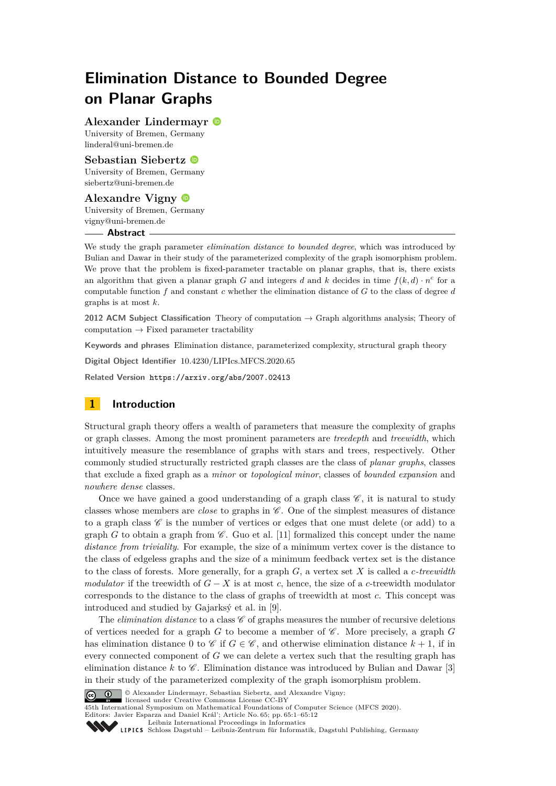# **Elimination Distance to Bounded Degree on Planar Graphs**

**Alexander Lindermayr**

University of Bremen, Germany [linderal@uni-bremen.de](mailto:linderal@uni-bremen.de)

**Sebastian Siebertz** University of Bremen, Germany [siebertz@uni-bremen.de](mailto:siebertz@uni-bremen.de)

**Alexandre Vigny** University of Bremen, Germany [vigny@uni-bremen.de](mailto:vigny@uni-bremen.de) **Abstract**

We study the graph parameter *elimination distance to bounded degree*, which was introduced by Bulian and Dawar in their study of the parameterized complexity of the graph isomorphism problem. We prove that the problem is fixed-parameter tractable on planar graphs, that is, there exists an algorithm that given a planar graph *G* and integers *d* and *k* decides in time  $f(k, d) \cdot n^c$  for a computable function *f* and constant *c* whether the elimination distance of *G* to the class of degree *d* graphs is at most *k*.

**2012 ACM Subject Classification** Theory of computation → Graph algorithms analysis; Theory of computation  $\rightarrow$  Fixed parameter tractability

**Keywords and phrases** Elimination distance, parameterized complexity, structural graph theory

**Digital Object Identifier** [10.4230/LIPIcs.MFCS.2020.65](https://doi.org/10.4230/LIPIcs.MFCS.2020.65)

**Related Version** <https://arxiv.org/abs/2007.02413>

## **1 Introduction**

Structural graph theory offers a wealth of parameters that measure the complexity of graphs or graph classes. Among the most prominent parameters are *treedepth* and *treewidth*, which intuitively measure the resemblance of graphs with stars and trees, respectively. Other commonly studied structurally restricted graph classes are the class of *planar graphs*, classes that exclude a fixed graph as a *minor* or *topological minor*, classes of *bounded expansion* and *nowhere dense* classes.

Once we have gained a good understanding of a graph class  $\mathscr{C}$ , it is natural to study classes whose members are *close* to graphs in  $\mathscr{C}$ . One of the simplest measures of distance to a graph class  $\mathscr C$  is the number of vertices or edges that one must delete (or add) to a graph *G* to obtain a graph from  $\mathscr C$ . Guo et al. [\[11\]](#page-11-0) formalized this concept under the name *distance from triviality*. For example, the size of a minimum vertex cover is the distance to the class of edgeless graphs and the size of a minimum feedback vertex set is the distance to the class of forests. More generally, for a graph *G*, a vertex set *X* is called a *c-treewidth modulator* if the treewidth of  $G - X$  is at most c, hence, the size of a c-treewidth modulator corresponds to the distance to the class of graphs of treewidth at most *c*. This concept was introduced and studied by Gajarksý et al. in [\[9\]](#page-11-1).

The *elimination distance* to a class  $\mathscr C$  of graphs measures the number of recursive deletions of vertices needed for a graph  $G$  to become a member of  $\mathscr C$ . More precisely, a graph  $G$ has elimination distance 0 to  $\mathscr C$  if  $G \in \mathscr C$ , and otherwise elimination distance  $k+1$ , if in every connected component of *G* we can delete a vertex such that the resulting graph has elimination distance  $k$  to  $\mathscr C$ . Elimination distance was introduced by Bulian and Dawar [\[3\]](#page-11-2) in their study of the parameterized complexity of the graph isomorphism problem.



**C (c) 0** Alexander Lindermayr, Sebastian Siebertz, and Alexandre Vigny;

licensed under Creative Commons License CC-BY 45th International Symposium on Mathematical Foundations of Computer Science (MFCS 2020). Editors: Javier Esparza and Daniel Král'; Article No. 65; pp. 65:1–65[:12](#page-11-3)

[Leibniz International Proceedings in Informatics](https://www.dagstuhl.de/lipics/)

[Schloss Dagstuhl – Leibniz-Zentrum für Informatik, Dagstuhl Publishing, Germany](https://www.dagstuhl.de)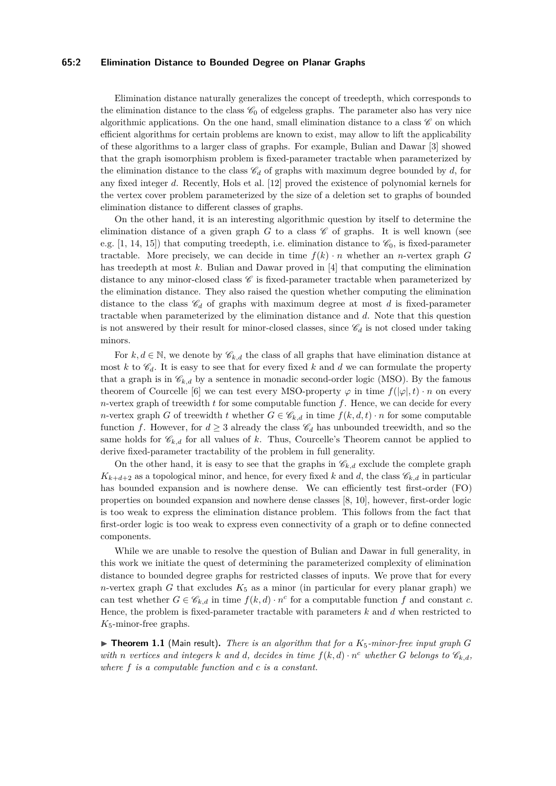#### **65:2 Elimination Distance to Bounded Degree on Planar Graphs**

Elimination distance naturally generalizes the concept of treedepth, which corresponds to the elimination distance to the class  $\mathcal{C}_0$  of edgeless graphs. The parameter also has very nice algorithmic applications. On the one hand, small elimination distance to a class  $\mathscr C$  on which efficient algorithms for certain problems are known to exist, may allow to lift the applicability of these algorithms to a larger class of graphs. For example, Bulian and Dawar [\[3\]](#page-11-2) showed that the graph isomorphism problem is fixed-parameter tractable when parameterized by the elimination distance to the class  $\mathcal{C}_d$  of graphs with maximum degree bounded by *d*, for any fixed integer *d*. Recently, Hols et al. [\[12\]](#page-11-4) proved the existence of polynomial kernels for the vertex cover problem parameterized by the size of a deletion set to graphs of bounded elimination distance to different classes of graphs.

On the other hand, it is an interesting algorithmic question by itself to determine the elimination distance of a given graph  $G$  to a class  $\mathscr C$  of graphs. It is well known (see e.g.  $[1, 14, 15]$  $[1, 14, 15]$  $[1, 14, 15]$  $[1, 14, 15]$  $[1, 14, 15]$ ) that computing treedepth, i.e. elimination distance to  $\mathscr{C}_0$ , is fixed-parameter tractable. More precisely, we can decide in time  $f(k) \cdot n$  whether an *n*-vertex graph *G* has treedepth at most *k*. Bulian and Dawar proved in [\[4\]](#page-11-8) that computing the elimination distance to any minor-closed class  $\mathscr C$  is fixed-parameter tractable when parameterized by the elimination distance. They also raised the question whether computing the elimination distance to the class  $\mathscr{C}_d$  of graphs with maximum degree at most *d* is fixed-parameter tractable when parameterized by the elimination distance and *d*. Note that this question is not answered by their result for minor-closed classes, since  $\mathscr{C}_d$  is not closed under taking minors.

For  $k, d \in \mathbb{N}$ , we denote by  $\mathscr{C}_{k,d}$  the class of all graphs that have elimination distance at most  $k$  to  $\mathscr{C}_d$ . It is easy to see that for every fixed  $k$  and  $d$  we can formulate the property that a graph is in  $\mathscr{C}_{k,d}$  by a sentence in monadic second-order logic (MSO). By the famous theorem of Courcelle [\[6\]](#page-11-9) we can test every MSO-property  $\varphi$  in time  $f(|\varphi|, t) \cdot n$  on every *n*-vertex graph of treewidth *t* for some computable function *f*. Hence, we can decide for every *n*-vertex graph *G* of treewidth *t* whether  $G \in \mathcal{C}_{k,d}$  in time  $f(k, d, t) \cdot n$  for some computable function *f*. However, for  $d \geq 3$  already the class  $\mathscr{C}_d$  has unbounded treewidth, and so the same holds for  $\mathscr{C}_{k,d}$  for all values of *k*. Thus, Courcelle's Theorem cannot be applied to derive fixed-parameter tractability of the problem in full generality.

On the other hand, it is easy to see that the graphs in  $\mathscr{C}_{k,d}$  exclude the complete graph  $K_{k+d+2}$  as a topological minor, and hence, for every fixed *k* and *d*, the class  $\mathscr{C}_{k,d}$  in particular has bounded expansion and is nowhere dense. We can efficiently test first-order (FO) properties on bounded expansion and nowhere dense classes [\[8,](#page-11-10) [10\]](#page-11-11), however, first-order logic is too weak to express the elimination distance problem. This follows from the fact that first-order logic is too weak to express even connectivity of a graph or to define connected components.

While we are unable to resolve the question of Bulian and Dawar in full generality, in this work we initiate the quest of determining the parameterized complexity of elimination distance to bounded degree graphs for restricted classes of inputs. We prove that for every *n*-vertex graph *G* that excludes  $K_5$  as a minor (in particular for every planar graph) we can test whether  $G \in \mathcal{C}_{k,d}$  in time  $f(k,d) \cdot n^c$  for a computable function  $f$  and constant  $c$ . Hence, the problem is fixed-parameter tractable with parameters *k* and *d* when restricted to *K*5-minor-free graphs.

<span id="page-1-0"></span> $\triangleright$  **Theorem 1.1** (Main result). *There is an algorithm that for a K<sub>5</sub>-minor-free input graph G with n vertices* and *integers k* and *d*, decides in time  $f(k,d) \cdot n^c$  *whether G belongs* to  $\mathcal{C}_{k,d}$ *, where f is a computable function and c is a constant.*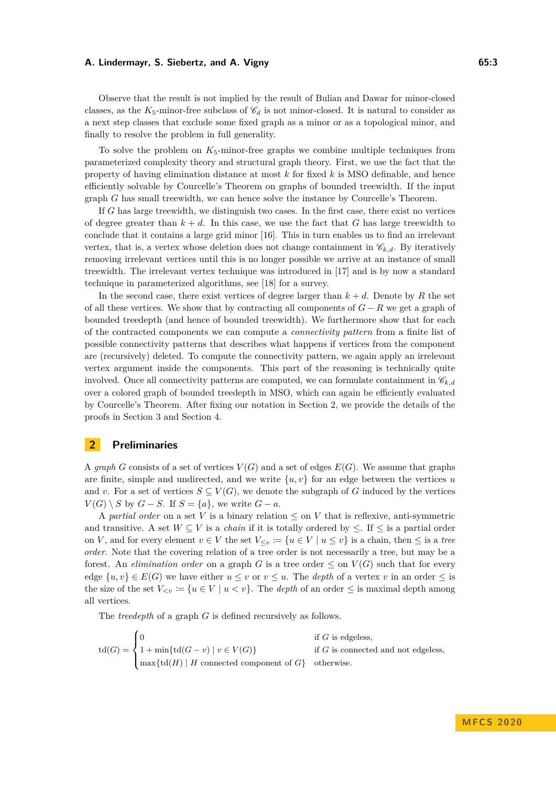Observe that the result is not implied by the result of Bulian and Dawar for minor-closed classes, as the  $K_5$ -minor-free subclass of  $\mathscr{C}_d$  is not minor-closed. It is natural to consider as a next step classes that exclude some fixed graph as a minor or as a topological minor, and finally to resolve the problem in full generality.

To solve the problem on  $K_5$ -minor-free graphs we combine multiple techniques from parameterized complexity theory and structural graph theory. First, we use the fact that the property of having elimination distance at most *k* for fixed *k* is MSO definable, and hence efficiently solvable by Courcelle's Theorem on graphs of bounded treewidth. If the input graph *G* has small treewidth, we can hence solve the instance by Courcelle's Theorem.

If *G* has large treewidth, we distinguish two cases. In the first case, there exist no vertices of degree greater than  $k + d$ . In this case, we use the fact that *G* has large treewidth to conclude that it contains a large grid minor [\[16\]](#page-11-12). This in turn enables us to find an irrelevant vertex, that is, a vertex whose deletion does not change containment in  $\mathcal{C}_{k,d}$ . By iteratively removing irrelevant vertices until this is no longer possible we arrive at an instance of small treewidth. The irrelevant vertex technique was introduced in [\[17\]](#page-11-13) and is by now a standard technique in parameterized algorithms, see [\[18\]](#page-11-14) for a survey.

In the second case, there exist vertices of degree larger than  $k + d$ . Denote by R the set of all these vertices. We show that by contracting all components of *G* − *R* we get a graph of bounded treedepth (and hence of bounded treewidth). We furthermore show that for each of the contracted components we can compute a *connectivity pattern* from a finite list of possible connectivity patterns that describes what happens if vertices from the component are (recursively) deleted. To compute the connectivity pattern, we again apply an irrelevant vertex argument inside the components. This part of the reasoning is technically quite involved. Once all connectivity patterns are computed, we can formulate containment in  $\mathscr{C}_{k,d}$ over a colored graph of bounded treedepth in MSO, which can again be efficiently evaluated by Courcelle's Theorem. After fixing our notation in Section [2,](#page-2-0) we provide the details of the proofs in Section [3](#page-4-0) and Section [4.](#page-7-0)

## <span id="page-2-0"></span>**2 Preliminaries**

A graph *G* consists of a set of vertices  $V(G)$  and a set of edges  $E(G)$ . We assume that graphs are finite, simple and undirected, and we write  $\{u, v\}$  for an edge between the vertices *u* and *v*. For a set of vertices  $S \subseteq V(G)$ , we denote the subgraph of *G* induced by the vertices  $V(G) \setminus S$  by  $G - S$ . If  $S = \{a\}$ , we write  $G - a$ .

A *partial order* on a set *V* is a binary relation ≤ on *V* that is reflexive, anti-symmetric and transitive. A set  $W \subseteq V$  is a *chain* if it is totally ordered by  $\leq$ . If  $\leq$  is a partial order on *V*, and for every element  $v \in V$  the set  $V_{\leq v} := \{u \in V \mid u \leq v\}$  is a chain, then  $\leq$  is a *tree order*. Note that the covering relation of a tree order is not necessarily a tree, but may be a forest. An *elimination order* on a graph *G* is a tree order  $\leq$  on  $V(G)$  such that for every edge  $\{u, v\} \in E(G)$  we have either  $u \leq v$  or  $v \leq u$ . The *depth* of a vertex v in an order  $\leq$  is the size of the set  $V_{< v} := \{u \in V \mid u < v\}$ . The *depth* of an order  $\leq$  is maximal depth among all vertices.

The *treedepth* of a graph *G* is defined recursively as follows.

$$
\operatorname{td}(G) = \begin{cases} 0 & \text{if $G$ is edges,} \\ 1 + \min\{\operatorname{td}(G - v) \mid v \in V(G)\} & \text{if $G$ is connected and not edgeless,} \\ \max\{\operatorname{td}(H) \mid H \text{ connected component of $G$}\} & \text{otherwise.} \end{cases}
$$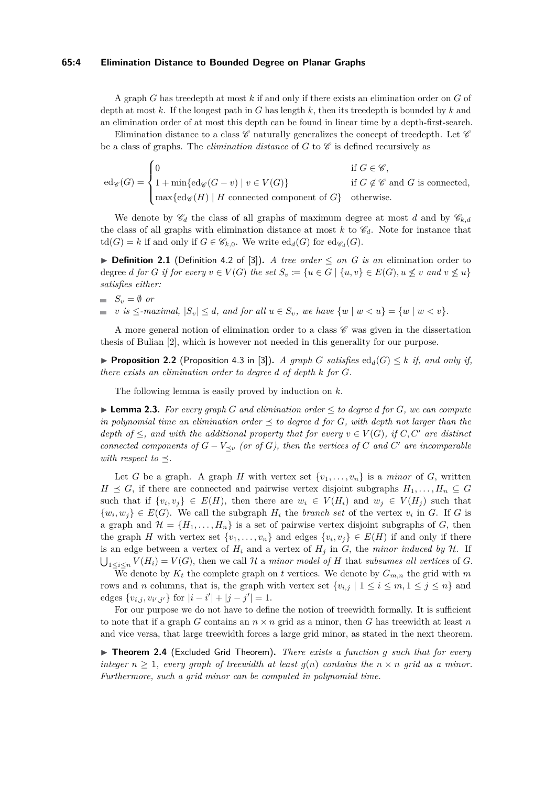#### **65:4 Elimination Distance to Bounded Degree on Planar Graphs**

A graph *G* has treedepth at most *k* if and only if there exists an elimination order on *G* of depth at most *k*. If the longest path in *G* has length *k*, then its treedepth is bounded by *k* and an elimination order of at most this depth can be found in linear time by a depth-first-search.

Elimination distance to a class  $\mathscr C$  naturally generalizes the concept of treedepth. Let  $\mathscr C$ be a class of graphs. The *elimination distance* of  $G$  to  $\mathscr C$  is defined recursively as

 $\mathrm{ed}_{\mathscr{C}}(G) =$  $\sqrt{ }$  $\int$  $\mathcal{L}$ 0 if  $G \in \mathscr{C}$ , 1 + min{ed<sub>*E*</sub>( $G - v$ ) |  $v \in V(G)$ } if  $G \notin \mathscr{C}$  and  $G$  is connected,  $\max\{\text{ed}_{\mathscr{C}}(H) \mid H \text{ connected component of } G\}$  otherwise.

We denote by  $\mathscr{C}_d$  the class of all graphs of maximum degree at most *d* and by  $\mathscr{C}_{k,d}$ the class of all graphs with elimination distance at most  $k$  to  $\mathscr{C}_d$ . Note for instance that  $\mathrm{td}(G) = k$  if and only if  $G \in \mathscr{C}_{k,0}$ . We write  $\mathrm{ed}_{d}(G)$  for  $\mathrm{ed}_{\mathscr{C}_d}(G)$ .

<span id="page-3-1"></span>**▶ Definition 2.1** (Definition 4.2 of [\[3\]](#page-11-2)). *A tree order*  $\leq$  *on G is an* elimination order to degree d for G if for every  $v \in V(G)$  the set  $S_v := \{u \in G \mid \{u, v\} \in E(G), u \not\leq v \text{ and } v \not\leq u\}$ *satisfies either:*

$$
S_v = \emptyset \text{ or }
$$

*v is* ≤*-maximal,*  $|S_v|$  ≤ *d, and for all*  $u \in S_v$ *, we have*  $\{w \mid w \lt u\} = \{w \mid w \lt v\}$ *.* 

A more general notion of elimination order to a class  $\mathscr C$  was given in the dissertation thesis of Bulian [\[2\]](#page-11-15), which is however not needed in this generality for our purpose.

▶ **Proposition 2.2** (Proposition 4.3 in [\[3\]](#page-11-2)). *A graph G satisfies*  $ed_d(G)$  ≤ *k if, and only if, there exists an elimination order to degree d of depth k for G.*

The following lemma is easily proved by induction on *k*.

<span id="page-3-0"></span>▶ **Lemma 2.3.** *For every graph G and elimination order*  $\leq$  *to degree d for G, we can compute in polynomial time an elimination order*  $\preceq$  *to degree d for G, with depth not larger than the depth of*  $\leq$ *, and with the additional property that for every*  $v \in V(G)$ *, if*  $C, C'$  *are distinct connected components of*  $G - V_{\preceq v}$  *(or of G), then the vertices of*  $C$  *and*  $C'$  *are incomparable with respect to*  $\preceq$ .

Let *G* be a graph. A graph *H* with vertex set  $\{v_1, \ldots, v_n\}$  is a *minor* of *G*, written *H*  $\le$  *G*, if there are connected and pairwise vertex disjoint subgraphs  $H_1, \ldots, H_n \subseteq G$ such that if  $\{v_i, v_j\} \in E(H)$ , then there are  $w_i \in V(H_i)$  and  $w_j \in V(H_j)$  such that  $\{w_i, w_j\} \in E(G)$ . We call the subgraph  $H_i$  the *branch set* of the vertex  $v_i$  in *G*. If *G* is a graph and  $\mathcal{H} = \{H_1, \ldots, H_n\}$  is a set of pairwise vertex disjoint subgraphs of *G*, then the graph *H* with vertex set  $\{v_1, \ldots, v_n\}$  and edges  $\{v_i, v_j\} \in E(H)$  if and only if there is an edge between a vertex of  $H_i$  and a vertex of  $H_j$  in  $G$ , the *minor induced by*  $H$ . If  $\bigcup_{1 \leq i \leq n} V(H_i) = V(G)$ , then we call H a *minor model of* H that *subsumes all vertices* of G.

We denote by  $K_t$  the complete graph on *t* vertices. We denote by  $G_{m,n}$  the grid with  $m$ rows and *n* columns, that is, the graph with vertex set  $\{v_{i,j} | 1 \le i \le m, 1 \le j \le n\}$  and edges  $\{v_{i,j}, v_{i',j'}\}$  for  $|i - i'| + |j - j'| = 1$ .

For our purpose we do not have to define the notion of treewidth formally. It is sufficient to note that if a graph *G* contains an  $n \times n$  grid as a minor, then *G* has treewidth at least *n* and vice versa, that large treewidth forces a large grid minor, as stated in the next theorem.

<span id="page-3-2"></span>▶ **Theorem 2.4** (Excluded Grid Theorem). *There exists a function q such that for every integer*  $n \geq 1$ *, every graph of treewidth at least*  $g(n)$  *contains the*  $n \times n$  *grid as a minor. Furthermore, such a grid minor can be computed in polynomial time.*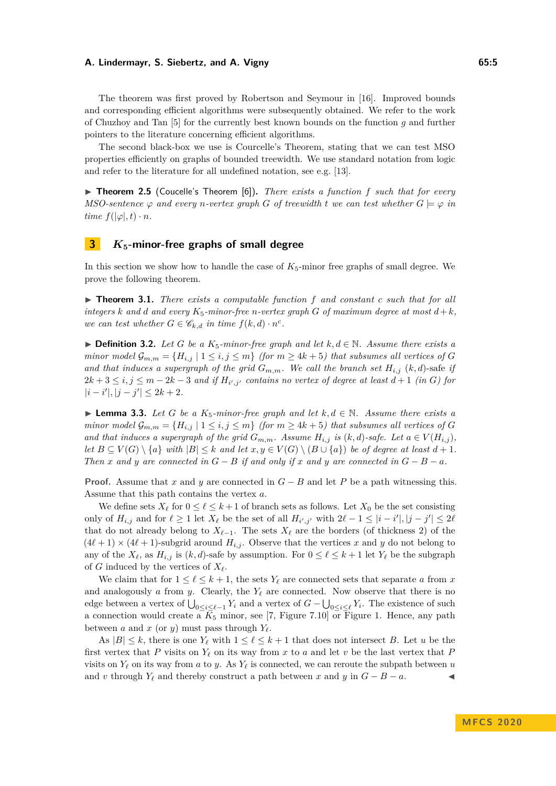The theorem was first proved by Robertson and Seymour in [\[16\]](#page-11-12). Improved bounds and corresponding efficient algorithms were subsequently obtained. We refer to the work of Chuzhoy and Tan [\[5\]](#page-11-16) for the currently best known bounds on the function *g* and further pointers to the literature concerning efficient algorithms.

The second black-box we use is Courcelle's Theorem, stating that we can test MSO properties efficiently on graphs of bounded treewidth. We use standard notation from logic and refer to the literature for all undefined notation, see e.g. [\[13\]](#page-11-17).

<span id="page-4-3"></span>▶ **Theorem 2.5** (Coucelle's Theorem [\[6\]](#page-11-9)). *There exists a function f such that for every MSO-sentence*  $\varphi$  *and every n-vertex graph G of treewidth t we can test whether*  $G \models \varphi$  *in time*  $f(|\varphi|, t) \cdot n$ *.* 

## <span id="page-4-0"></span>**3** *K***5-minor-free graphs of small degree**

In this section we show how to handle the case of  $K_5$ -minor free graphs of small degree. We prove the following theorem.

<span id="page-4-2"></span>▶ **Theorem 3.1.** *There exists a computable function f* and constant *c such that for all integers k* and *d* and every  $K_5$ -minor-free *n*-vertex graph *G* of maximum degree at most  $d + k$ , *we can test whether*  $G \in \mathscr{C}_{k,d}$  *in time*  $f(k,d) \cdot n^c$ .

**► Definition 3.2.** Let *G* be a  $K_5$ -minor-free graph and let  $k, d \in \mathbb{N}$ . Assume there exists a *minor model*  $\mathcal{G}_{m,m} = \{H_{i,j} \mid 1 \leq i,j \leq m\}$  (for  $m \geq 4k+5$ ) that subsumes all vertices of G *and that induces a supergraph of the grid*  $G_{m,m}$ *. We call the branch set*  $H_{i,j}$  (*k, d*)-safe *if*  $2k+3 \leq i,j \leq m-2k-3$  and if  $H_{i',j'}$  contains no vertex of degree at least  $d+1$  (in G) for  $|i - i'|, |j - j'| \leq 2k + 2.$ 

<span id="page-4-1"></span>▶ **Lemma 3.3.** *Let G be a*  $K_5$ -*minor-free graph and let*  $k, d \in \mathbb{N}$ *. Assume there exists a minor model*  $\mathcal{G}_{m,m} = \{H_{i,j} \mid 1 \leq i,j \leq m\}$  (for  $m \geq 4k+5$ ) that subsumes all vertices of G *and that induces a supergraph of the grid*  $G_{m,m}$ *. Assume*  $H_{i,j}$  *is*  $(k,d)$ *-safe. Let*  $a \in V(H_{i,j})$ *, let*  $B \subseteq V(G) \setminus \{a\}$  *with*  $|B| \leq k$  *and let*  $x, y \in V(G) \setminus (B \cup \{a\})$  *be of degree at least*  $d+1$ *. Then x* and *y* are connected in  $G - B$  if and only if *x* and *y* are connected in  $G - B - a$ .

**Proof.** Assume that *x* and *y* are connected in *G* − *B* and let *P* be a path witnessing this. Assume that this path contains the vertex *a*.

We define sets  $X_\ell$  for  $0 \leq \ell \leq k+1$  of branch sets as follows. Let  $X_0$  be the set consisting only of  $H_{i,j}$  and for  $\ell \ge 1$  let  $X_{\ell}$  be the set of all  $H_{i',j'}$  with  $2\ell - 1 \le |i - i'|, |j - j'| \le 2\ell$ that do not already belong to  $X_{\ell-1}$ . The sets  $X_{\ell}$  are the borders (of thickness 2) of the  $(4\ell + 1) \times (4\ell + 1)$ -subgrid around  $H_{i,j}$ . Observe that the vertices *x* and *y* do not belong to any of the  $X_{\ell}$ , as  $H_{i,j}$  is  $(k, d)$ -safe by assumption. For  $0 \leq \ell \leq k+1$  let  $Y_{\ell}$  be the subgraph of *G* induced by the vertices of  $X_\ell$ .

We claim that for  $1 \leq \ell \leq k+1$ , the sets  $Y_{\ell}$  are connected sets that separate *a* from *x* and analogously  $a$  from  $y$ . Clearly, the  $Y_\ell$  are connected. Now observe that there is no edge between a vertex of  $\bigcup_{0 \leq i \leq \ell-1} Y_i$  and a vertex of  $G - \bigcup_{0 \leq i \leq \ell} Y_i$ . The existence of such a connection would create a  $\overline{K}_5$  minor, see [\[7,](#page-11-18) Figure 7.10] or Figure [1.](#page-5-0) Hence, any path between *a* and *x* (or *y*) must pass through  $Y_{\ell}$ .

As  $|B| \leq k$ , there is one  $Y_\ell$  with  $1 \leq \ell \leq k+1$  that does not intersect *B*. Let *u* be the first vertex that *P* visits on  $Y_\ell$  on its way from *x* to *a* and let *v* be the last vertex that *P* visits on  $Y_\ell$  on its way from *a* to *y*. As  $Y_\ell$  is connected, we can reroute the subpath between *u* and *v* through  $Y_\ell$  and thereby construct a path between *x* and *y* in  $G - B - a$ .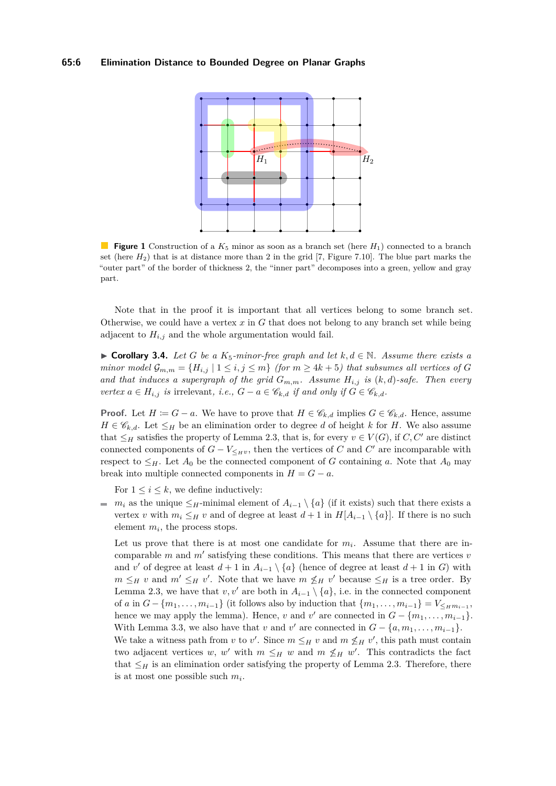#### <span id="page-5-0"></span>**65:6 Elimination Distance to Bounded Degree on Planar Graphs**



**Figure 1** Construction of a *K*<sup>5</sup> minor as soon as a branch set (here *H*1) connected to a branch set (here  $H_2$ ) that is at distance more than 2 in the grid [\[7,](#page-11-18) Figure 7.10]. The blue part marks the "outer part" of the border of thickness 2, the "inner part" decomposes into a green, yellow and gray part.

Note that in the proof it is important that all vertices belong to some branch set. Otherwise, we could have a vertex *x* in *G* that does not belong to any branch set while being adjacent to  $H_{i,j}$  and the whole argumentation would fail.

<span id="page-5-1"></span>▶ **Corollary 3.4.** *Let G be a*  $K_5$ -minor-free graph and let  $k, d \in \mathbb{N}$ . Assume there exists a *minor model*  $\mathcal{G}_{m,m} = \{H_{i,j} \mid 1 \leq i,j \leq m\}$  (for  $m \geq 4k+5$ ) that subsumes all vertices of G and that induces a supergraph of the grid  $G_{m,m}$ . Assume  $H_{i,j}$  is  $(k,d)$ -safe. Then every *vertex*  $a \in H_{i,j}$  *is* irrelevant, *i.e.*,  $G - a \in \mathscr{C}_{k,d}$  *if and only if*  $G \in \mathscr{C}_{k,d}$ *.* 

**Proof.** Let  $H := G - a$ . We have to prove that  $H \in \mathcal{C}_{k,d}$  implies  $G \in \mathcal{C}_{k,d}$ . Hence, assume  $H \in \mathscr{C}_{k,d}$ . Let  $\leq_H$  be an elimination order to degree *d* of height *k* for *H*. We also assume that  $\leq_H$  satisfies the property of Lemma [2.3,](#page-3-0) that is, for every  $v \in V(G)$ , if *C*, *C'* are distinct connected components of  $G - V_{\leq_H v}$ , then the vertices of *C* and *C*<sup>'</sup> are incomparable with respect to  $\leq_H$ . Let  $A_0$  be the connected component of *G* containing *a*. Note that  $A_0$  may break into multiple connected components in  $H = G - a$ .

For  $1 \leq i \leq k$ , we define inductively:

*m<sub>i</sub>* as the unique ≤*H*-minimal element of  $A_{i-1} \setminus \{a\}$  (if it exists) such that there exists a vertex *v* with  $m_i \leq_H v$  and of degree at least  $d+1$  in  $H[A_{i-1} \setminus \{a\}]$ . If there is no such element  $m_i$ , the process stops.

Let us prove that there is at most one candidate for  $m_i$ . Assume that there are incomparable  $m$  and  $m'$  satisfying these conditions. This means that there are vertices  $v$ and *v*' of degree at least  $d+1$  in  $A_{i-1} \setminus \{a\}$  (hence of degree at least  $d+1$  in *G*) with  $m \leq_H v$  and  $m' \leq_H v'$ . Note that we have  $m \nleq_H v'$  because  $\leq_H$  is a tree order. By Lemma [2.3,](#page-3-0) we have that *v*, *v'* are both in  $A_{i-1} \setminus \{a\}$ , i.e. in the connected component of *a* in  $G - \{m_1, \ldots, m_{i-1}\}$  (it follows also by induction that  $\{m_1, \ldots, m_{i-1}\} = V_{\leq_H m_{i-1}}$ , hence we may apply the lemma). Hence, *v* and *v*' are connected in  $G - \{m_1, \ldots, m_{i-1}\}.$ With Lemma [3.3,](#page-4-1) we also have that *v* and *v*' are connected in  $G - \{a, m_1, \ldots, m_{i-1}\}.$ We take a witness path from *v* to *v'*. Since  $m \leq_H v$  and  $m \nleq_H v'$ , this path must contain two adjacent vertices *w*, *w'* with  $m \leq_H w$  and  $m \nleq_H w'$ . This contradicts the fact that  $\leq_H$  is an elimination order satisfying the property of Lemma [2.3.](#page-3-0) Therefore, there is at most one possible such *m<sup>i</sup>* .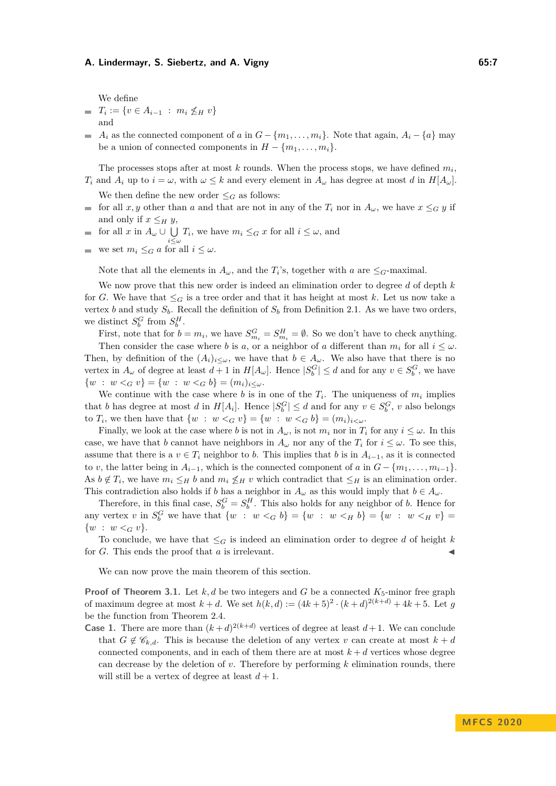We define

- $T_i := \{ v \in A_{i-1} : m_i \nleq_H v \}$ and
- *A*<sup>*i*</sup> as the connected component of *a* in  $G \{m_1, \ldots, m_i\}$ . Note that again,  $A_i \{a\}$  may be a union of connected components in  $H - \{m_1, \ldots, m_i\}.$

The processes stops after at most  $k$  rounds. When the process stops, we have defined  $m_i$ , *T*<sub>*i*</sub> and *A*<sub>*i*</sub> up to  $i = \omega$ , with  $\omega \leq k$  and every element in  $A_{\omega}$  has degree at most *d* in  $H[A_{\omega}]$ .

- We then define the new order  $\leq_G$  as follows: for all *x, y* other than *a* and that are not in any of the  $T_i$  nor in  $A_\omega$ , we have  $x \leq_G y$  if  $\blacksquare$ and only if  $x \leq_H y$ ,
- for all  $x$  in  $A_\omega \cup \bigcup$  $\bigcup_{i \leq \omega} T_i$ , we have  $m_i \leq_G x$  for all  $i \leq \omega$ , and  $\equiv$
- we set  $m_i \leq_G a$  for all  $i \leq \omega$ .

Note that all the elements in  $A_{\omega}$ , and the  $T_i$ 's, together with *a* are  $\leq_G$ -maximal.

We now prove that this new order is indeed an elimination order to degree *d* of depth *k* for *G*. We have that  $\leq_G$  is a tree order and that it has height at most *k*. Let us now take a vertex *b* and study  $S_b$ . Recall the definition of  $S_b$  from Definition [2.1.](#page-3-1) As we have two orders, we distinct  $S_b^G$  from  $S_b^H$ .

First, note that for  $b = m_i$ , we have  $S_{m_i}^G = S_{m_i}^H = \emptyset$ . So we don't have to check anything. Then consider the case where *b* is *a*, or a neighbor of *a* different than  $m_i$  for all  $i \leq \omega$ . Then, by definition of the  $(A_i)_{i\leq w}$ , we have that  $b \in A_\omega$ . We also have that there is no vertex in  $A_\omega$  of degree at least  $d+1$  in  $H[A_\omega]$ . Hence  $|S_b^G| \leq d$  and for any  $v \in S_b^G$ , we have  $\{w : w \leq_G v\} = \{w : w \leq_G b\} = (m_i)_{i \leq \omega}.$ 

We continue with the case where *b* is in one of the  $T_i$ . The uniqueness of  $m_i$  implies that *b* has degree at most *d* in  $H[A_i]$ . Hence  $|S_b^G| \le d$  and for any  $v \in S_b^G$ , *v* also belongs to *T<sub>i</sub>*, we then have that  $\{w : w <_G v\} = \{w : w <_G b\} = (m_i)_{i \lt w}$ .

Finally, we look at the case where *b* is not in  $A_\omega$ , is not  $m_i$  nor in  $T_i$  for any  $i \leq \omega$ . In this case, we have that *b* cannot have neighbors in  $A_\omega$  nor any of the  $T_i$  for  $i \leq \omega$ . To see this, assume that there is a  $v \in T_i$  neighbor to *b*. This implies that *b* is in  $A_{i-1}$ , as it is connected to *v*, the latter being in  $A_{i-1}$ , which is the connected component of *a* in  $G - \{m_1, \ldots, m_{i-1}\}.$ As  $b \notin T_i$ , we have  $m_i \leq_H b$  and  $m_i \nleq_H v$  which contradict that  $\leq_H$  is an elimination order. This contradiction also holds if *b* has a neighbor in  $A_\omega$  as this would imply that  $b \in A_\omega$ .

Therefore, in this final case,  $S_b^G = S_b^H$ . This also holds for any neighbor of *b*. Hence for any vertex *v* in  $S_b^G$  we have that  $\{w : w <_G b\} = \{w : w <_H b\} = \{w : w <_H v\} =$  $\{w : w <_{G} v\}.$ 

To conclude, we have that  $\leq_G$  is indeed an elimination order to degree *d* of height *k* for  $G$ . This ends the proof that  $a$  is irrelevant.

We can now prove the main theorem of this section.

**Proof of Theorem [3.1.](#page-4-2)** Let  $k, d$  be two integers and *G* be a connected  $K_5$ -minor free graph of maximum degree at most  $k + d$ . We set  $h(k, d) := (4k + 5)^2 \cdot (k + d)^{2(k + d)} + 4k + 5$ . Let g be the function from Theorem [2.4.](#page-3-2)

**Case 1.** There are more than  $(k+d)^{2(k+d)}$  vertices of degree at least  $d+1$ . We can conclude that  $G \notin \mathscr{C}_{k,d}$ . This is because the deletion of any vertex *v* can create at most  $k+d$ connected components, and in each of them there are at most  $k + d$  vertices whose degree can decrease by the deletion of *v*. Therefore by performing *k* elimination rounds, there will still be a vertex of degree at least  $d+1$ .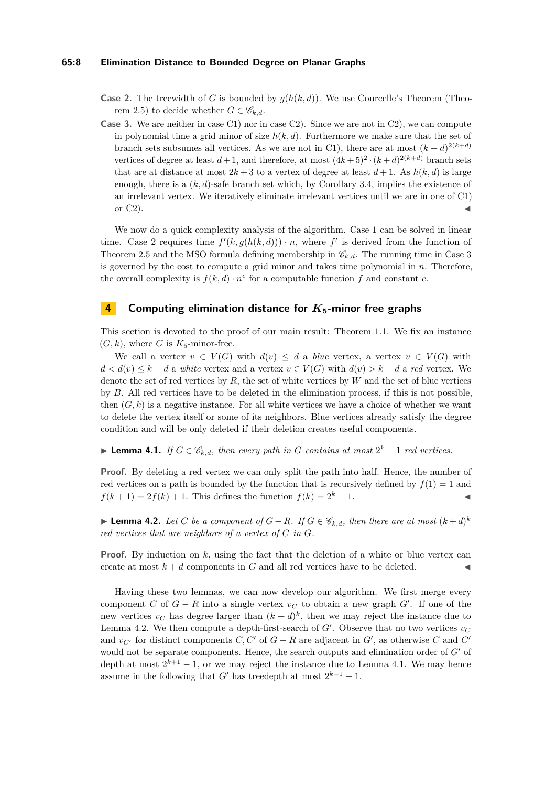#### **65:8 Elimination Distance to Bounded Degree on Planar Graphs**

- **Case 2.** The treewidth of *G* is bounded by  $g(h(k, d))$ . We use Courcelle's Theorem (Theo-rem [2.5\)](#page-4-3) to decide whether  $G \in \mathscr{C}_{k,d}$ .
- **Case 3.** We are neither in case C1) nor in case C2). Since we are not in C2), we can compute in polynomial time a grid minor of size  $h(k, d)$ . Furthermore we make sure that the set of branch sets subsumes all vertices. As we are not in C1), there are at most  $(k + d)^{2(k+d)}$ vertices of degree at least  $d+1$ , and therefore, at most  $(4k+5)^2 \cdot (k+d)^{2(k+d)}$  branch sets that are at distance at most  $2k + 3$  to a vertex of degree at least  $d + 1$ . As  $h(k, d)$  is large enough, there is a  $(k, d)$ -safe branch set which, by Corollary [3.4,](#page-5-1) implies the existence of an irrelevant vertex. We iteratively eliminate irrelevant vertices until we are in one of C1) or  $C2$ ).

We now do a quick complexity analysis of the algorithm. Case 1 can be solved in linear time. Case 2 requires time  $f'(k, g(h(k, d))) \cdot n$ , where f' is derived from the function of Theorem [2.5](#page-4-3) and the MSO formula defining membership in  $\mathcal{C}_{k,d}$ . The running time in Case 3 is governed by the cost to compute a grid minor and takes time polynomial in *n*. Therefore, the overall complexity is  $f(k, d) \cdot n^c$  for a computable function  $f$  and constant  $c$ .

## <span id="page-7-0"></span>**4 Computing elimination distance for** *K***5-minor free graphs**

This section is devoted to the proof of our main result: Theorem [1.1.](#page-1-0) We fix an instance  $(G, k)$ , where *G* is  $K_5$ -minor-free.

We call a vertex  $v \in V(G)$  with  $d(v) \leq d$  a *blue* vertex, a vertex  $v \in V(G)$  with  $d < d(v) \leq k + d$  a *white* vertex and a vertex  $v \in V(G)$  with  $d(v) > k + d$  a *red* vertex. We denote the set of red vertices by *R*, the set of white vertices by *W* and the set of blue vertices by *B*. All red vertices have to be deleted in the elimination process, if this is not possible, then  $(G, k)$  is a negative instance. For all white vertices we have a choice of whether we want to delete the vertex itself or some of its neighbors. Blue vertices already satisfy the degree condition and will be only deleted if their deletion creates useful components.

<span id="page-7-2"></span>▶ **Lemma 4.1.** *If*  $G \in \mathcal{C}_{k,d}$ *, then every path in G contains at most*  $2^k - 1$  *red vertices.* 

**Proof.** By deleting a red vertex we can only split the path into half. Hence, the number of red vertices on a path is bounded by the function that is recursively defined by  $f(1) = 1$  and  $f(k+1) = 2f(k) + 1$ . This defines the function  $f(k) = 2^k - 1$ .

<span id="page-7-1"></span>▶ **Lemma 4.2.** *Let C be a component of*  $G - R$ *. If*  $G \in \mathcal{C}_{k,d}$ *, then there are at most*  $(k + d)^k$ *red vertices that are neighbors of a vertex of C in G.*

**Proof.** By induction on k, using the fact that the deletion of a white or blue vertex can create at most  $k + d$  components in  $G$  and all red vertices have to be deleted.

Having these two lemmas, we can now develop our algorithm. We first merge every component *C* of  $G - R$  into a single vertex  $v_C$  to obtain a new graph  $G'$ . If one of the new vertices  $v_C$  has degree larger than  $(k + d)^k$ , then we may reject the instance due to Lemma [4.2.](#page-7-1) We then compute a depth-first-search of  $G'$ . Observe that no two vertices  $v_C$ and  $v_{C}$  for distinct components  $C, C'$  of  $G - R$  are adjacent in  $G'$ , as otherwise  $C$  and  $C'$ would not be separate components. Hence, the search outputs and elimination order of  $G'$  of depth at most  $2^{k+1} - 1$ , or we may reject the instance due to Lemma [4.1.](#page-7-2) We may hence assume in the following that  $G'$  has treedepth at most  $2^{k+1} - 1$ .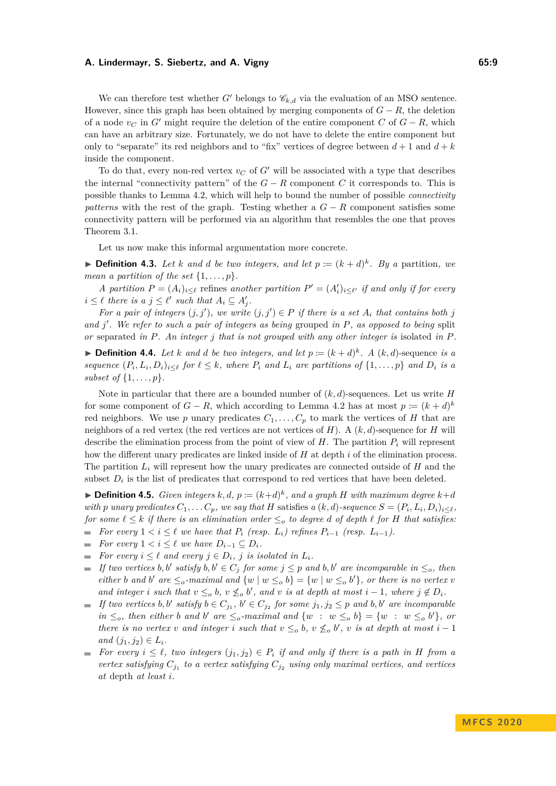We can therefore test whether *G'* belongs to  $\mathcal{C}_{k,d}$  via the evaluation of an MSO sentence. However, since this graph has been obtained by merging components of  $G - R$ , the deletion of a node  $v_C$  in G<sup> $\prime$ </sup> might require the deletion of the entire component C of  $G - R$ , which can have an arbitrary size. Fortunately, we do not have to delete the entire component but only to "separate" its red neighbors and to "fix" vertices of degree between  $d+1$  and  $d+k$ inside the component.

To do that, every non-red vertex  $v_C$  of G' will be associated with a type that describes the internal "connectivity pattern" of the  $G - R$  component C it corresponds to. This is possible thanks to Lemma [4.2,](#page-7-1) which will help to bound the number of possible *connectivity patterns* with the rest of the graph. Testing whether a  $G - R$  component satisfies some connectivity pattern will be performed via an algorithm that resembles the one that proves Theorem [3.1.](#page-4-2)

Let us now make this informal argumentation more concrete.

**Definition 4.3.** Let *k* and *d* be two integers, and let  $p := (k + d)^k$ . By a partition, we *mean a partition of the set*  $\{1, \ldots, p\}$ *.* 

*A partition*  $P = (A_i)_{i \leq \ell}$  refines *another partition*  $P' = (A'_i)_{i \leq \ell'}$  *if and only if for every*  $i \leq \ell$  *there is a*  $j \leq \ell'$  *such that*  $A_i \subseteq A'_j$ *.* 

*For a pair of integers*  $(j, j')$ , we write  $(j, j') \in P$  *if there is a set*  $A_i$  *that contains both j and j* 0 *. We refer to such a pair of integers as being* grouped *in P, as opposed to being* split *or* separated *in P. An integer j that is not grouped with any other integer is* isolated *in P.*

**Definition 4.4.** Let *k* and *d* be two integers, and let  $p := (k + d)^k$ . A  $(k, d)$ -sequence is a sequence  $(P_i, L_i, D_i)_{i \leq \ell}$  for  $\ell \leq k$ , where  $P_i$  and  $L_i$  are partitions of  $\{1, \ldots, p\}$  and  $D_i$  is a *subset of* {1*, . . . , p*}*.*

Note in particular that there are a bounded number of (*k, d*)-sequences. Let us write *H* for some component of  $G - R$ , which according to Lemma [4.2](#page-7-1) has at most  $p \coloneqq (k + d)^k$ red neighbors. We use *p* unary predicates  $C_1, \ldots, C_p$  to mark the vertices of *H* that are neighbors of a red vertex (the red vertices are not vertices of  $H$ ). A  $(k, d)$ -sequence for  $H$  will describe the elimination process from the point of view of  $H$ . The partition  $P_i$  will represent how the different unary predicates are linked inside of *H* at depth *i* of the elimination process. The partition  $L_i$  will represent how the unary predicates are connected outside of  $H$  and the subset  $D_i$  is the list of predicates that correspond to red vertices that have been deleted.

 $\blacktriangleright$  **Definition 4.5.** *Given integers*  $k, d, p \coloneqq (k+d)^k$ , and a graph *H* with maximum degree  $k+d$ with p unary predicates  $C_1, \ldots C_p$ , we say that H satisfies a  $(k, d)$ -sequence  $S = (P_i, L_i, D_i)_{i \leq \ell}$ , *for some*  $\ell \leq k$  *if there is an elimination order*  $\leq_o$  *to degree d of depth*  $\ell$  *for H that satisfies:* 

- *For every*  $1 < i \leq \ell$  *we have that*  $P_i$  *(resp.*  $L_i$ *) refines*  $P_{i-1}$  *(resp.*  $L_{i-1}$ *).*  $\mathcal{L}_{\mathcal{A}}$
- *For every*  $1 < i \leq \ell$  *we have*  $D_{i-1} \subseteq D_i$ *.*
- *For every*  $i \leq \ell$  *and every*  $j \in D_i$ *, j is isolated in*  $L_i$ *.*  $\sim$
- *If two vertices b, b' satisfy*  $b, b' \in C_j$  *for some*  $j \leq p$  *and*  $b, b'$  *are incomparable in*  $\leq_o$ *, then*  $\sim$ *either b* and *b*<sup> $\prime$ </sup> are  $\leq_o$ -maximal and  $\{w \mid w \leq_o b\} = \{w \mid w \leq_o b'\}$ , or there is no vertex *v and integer i such that*  $v \leq_o b$ ,  $v \nleq_o b'$ , and  $v$  *is at depth at most*  $i - 1$ *, where*  $j \notin D_i$ *.*
- *If two vertices*  $b, b'$  *satisfy*  $b \in C_{j_1}, b' \in C_{j_2}$  *for some*  $j_1, j_2 \leq p$  *and*  $b, b'$  *are incomparable in*  $\leq_o$ *, then either b and b' are*  $\leq_o$ *-maximal and*  $\{w : w \leq_o b\} = \{w : w \leq_o b'\}$ *, or there is no vertex v and integer i such that*  $v \leq_o b$ ,  $v \nleq_o b'$ , *v is at depth at most*  $i-1$  $and (j_1, j_2) \in L_i$ .
- *For every*  $i \leq \ell$ , two integers  $(j_1, j_2) \in P_i$  if and only if there is a path in H from a *vertex satisfying*  $C_{j_1}$  to a vertex satisfying  $C_{j_2}$  using only maximal vertices, and vertices *at* depth *at least i.*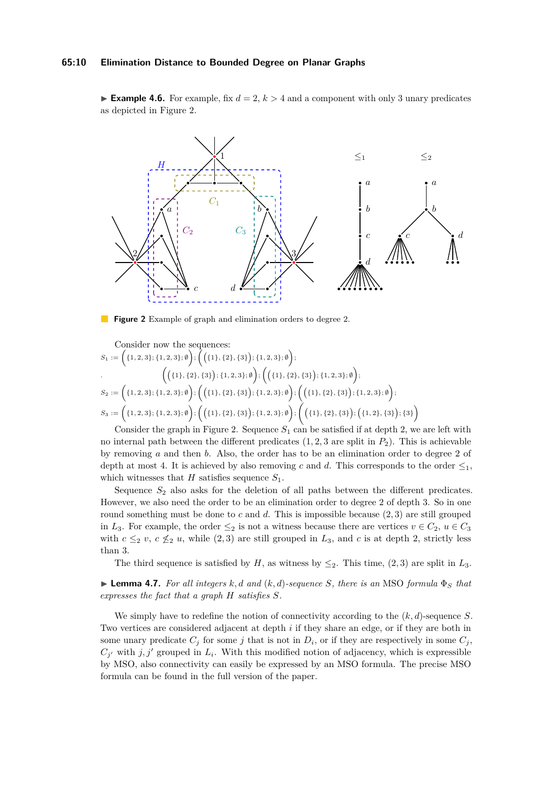#### **65:10 Elimination Distance to Bounded Degree on Planar Graphs**

**Example 4.6.** For example, fix  $d = 2$ ,  $k > 4$  and a component with only 3 unary predicates as depicted in Figure [2.](#page-9-0)

<span id="page-9-0"></span>

**Figure 2** Example of graph and elimination orders to degree 2.

Consider now the sequences:  
\n
$$
S_1 := \left( \{1, 2, 3\}; \{1, 2, 3\}; \emptyset \right); \left( \{\{1\}, \{2\}, \{3\}\}; \{1, 2, 3\}; \emptyset \right);
$$
\n
$$
\left( \{\{1\}, \{2\}, \{3\}\}; \{1, 2, 3\}; \emptyset \right); \left( \{\{1\}, \{2\}, \{3\}\}; \{1, 2, 3\}; \emptyset \right);
$$
\n
$$
S_2 := \left( \{1, 2, 3\}; \{1, 2, 3\}; \emptyset \right); \left( \{\{1\}, \{2\}, \{3\}\}; \{1, 2, 3\}; \emptyset \right); \left( \{\{1\}, \{2\}, \{3\}\}; \{1, 2, 3\}; \emptyset \right);
$$
\n
$$
S_3 := \left( \{1, 2, 3\}; \{1, 2, 3\}; \emptyset \right); \left( \{\{1\}, \{2\}, \{3\}\}; \{1, 2, 3\}; \emptyset \right); \left( \{\{1\}, \{2\}, \{3\}\}; \{\{1, 2\}, \{3\}\}; \{\{1, 2\}, \{3\}\}; \{\{1, 3\}\}; \{\{1, 2\}, \{3\}\}; \{\{1, 2\}, \{3\}\}; \{\{1, 2\}, \{3\}\}; \{\{1, 2\}, \{3\}\}; \{\{1, 2\}, \{3\}\}; \{\{1, 2\}, \{3\}\}; \{\{1, 2\}, \{3\}\}; \{\{1, 2\}, \{3\}\}; \{\{1, 2\}, \{3\}\}; \{\{1, 2\}, \{3\}\}; \{\{1, 2\}, \{3\}\}; \{\{1, 2\}, \{3\}\}; \{\{1, 2\}, \{3\}\}; \{\{1, 2\}, \{3\}\}; \{\{1, 2\}, \{3\}\}; \{\{1, 2\}, \{3\}\}; \{\{1, 2\}, \{3\}\}; \{\{1, 2\}, \{3\}\}; \{\{1, 2\}, \{3\}\}; \{\{1, 2\}, \{3\}\}; \{\{1, 2\}, \{3\}\}; \{\{1, 2\}, \{3\}\}; \{\{1,
$$

Consider the graph in Figure [2.](#page-9-0) Sequence  $S_1$  can be satisfied if at depth 2, we are left with no internal path between the different predicates  $(1, 2, 3$  are split in  $P_2$ ). This is achievable by removing *a* and then *b*. Also, the order has to be an elimination order to degree 2 of depth at most 4. It is achieved by also removing *c* and *d*. This corresponds to the order  $\leq_1$ , which witnesses that *H* satisfies sequence  $S_1$ .

Sequence  $S_2$  also asks for the deletion of all paths between the different predicates. However, we also need the order to be an elimination order to degree 2 of depth 3. So in one round something must be done to *c* and *d*. This is impossible because (2*,* 3) are still grouped in *L*<sub>3</sub>. For example, the order  $\leq_2$  is not a witness because there are vertices  $v \in C_2$ ,  $u \in C_3$ with  $c \leq_2 v$ ,  $c \nleq_2 u$ , while (2,3) are still grouped in  $L_3$ , and *c* is at depth 2, strictly less than 3.

The third sequence is satisfied by *H*, as witness by  $\leq_2$ . This time, (2, 3) are split in  $L_3$ .

 $\blacktriangleright$  **Lemma 4.7.** For all integers k, d and (k, d)-sequence S, there is an MSO formula  $\Phi_S$  that *expresses the fact that a graph H satisfies S.*

<span id="page-9-1"></span>We simply have to redefine the notion of connectivity according to the (*k, d*)-sequence *S*. Two vertices are considered adjacent at depth *i* if they share an edge, or if they are both in some unary predicate  $C_j$  for some *j* that is not in  $D_i$ , or if they are respectively in some  $C_j$ ,  $C_{j'}$  with  $j, j'$  grouped in  $L_i$ . With this modified notion of adjacency, which is expressible by MSO, also connectivity can easily be expressed by an MSO formula. The precise MSO formula can be found in the full version of the paper.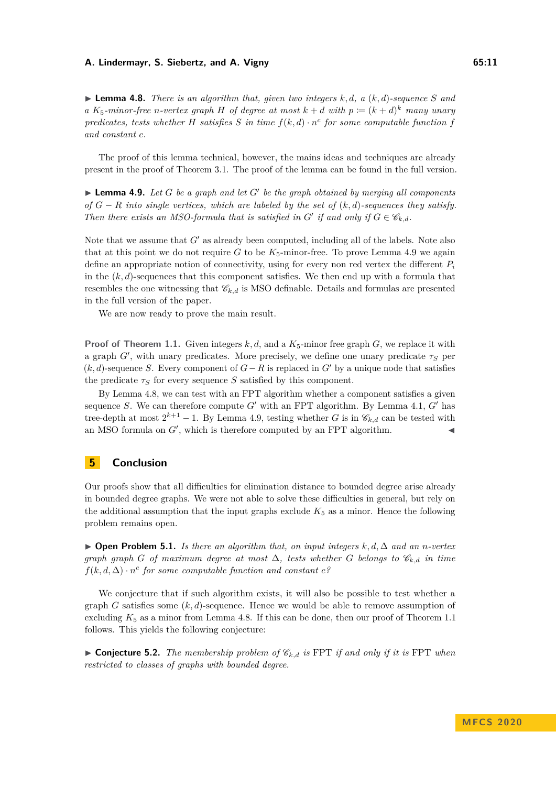$\blacktriangleright$  **Lemma 4.8.** *There is an algorithm that, given two integers k, d, a (k, d)-sequence S and a*  $K_5$ -minor-free *n*-vertex graph *H* of degree at most  $k + d$  with  $p := (k + d)^k$  many unary *predicates, tests whether H satisfies S in time*  $f(k, d) \cdot n^c$  *for some computable function f and constant c.*

The proof of this lemma technical, however, the mains ideas and techniques are already present in the proof of Theorem [3.1.](#page-4-2) The proof of the lemma can be found in the full version.

<span id="page-10-0"></span> $\blacktriangleright$  **Lemma 4.9.** Let *G* be a graph and let *G*<sup> $\prime$ </sup> be the graph obtained by merging all components *of G* − *R into single vertices, which are labeled by the set of* (*k, d*)*-sequences they satisfy. Then there exists an MSO-formula that is satisfied in*  $G'$  *if and only if*  $G \in \mathcal{C}_{k,d}$ *.* 

Note that we assume that *G'* as already been computed, including all of the labels. Note also that at this point we do not require  $G$  to be  $K_5$ -minor-free. To prove Lemma [4.9](#page-10-0) we again define an appropriate notion of connectivity, using for every non red vertex the different *P<sup>i</sup>* in the  $(k, d)$ -sequences that this component satisfies. We then end up with a formula that resembles the one witnessing that  $\mathscr{C}_{k,d}$  is MSO definable. Details and formulas are presented in the full version of the paper.

We are now ready to prove the main result.

**Proof of Theorem [1.1.](#page-1-0)** Given integers  $k, d$ , and a  $K_5$ -minor free graph *G*, we replace it with a graph  $G'$ , with unary predicates. More precisely, we define one unary predicate  $\tau_S$  per  $(k, d)$ -sequence *S*. Every component of  $G - R$  is replaced in  $G'$  by a unique node that satisfies the predicate  $\tau_S$  for every sequence *S* satisfied by this component.

By Lemma [4.8,](#page-9-1) we can test with an FPT algorithm whether a component satisfies a given sequence *S*. We can therefore compute  $G'$  with an FPT algorithm. By Lemma [4.1,](#page-7-2)  $G'$  has tree-depth at most  $2^{k+1} - 1$ . By Lemma [4.9,](#page-10-0) testing whether *G* is in  $\mathscr{C}_{k,d}$  can be tested with an MSO formula on  $G'$ , which is therefore computed by an FPT algorithm.

### **5 Conclusion**

Our proofs show that all difficulties for elimination distance to bounded degree arise already in bounded degree graphs. We were not able to solve these difficulties in general, but rely on the additional assumption that the input graphs exclude  $K_5$  as a minor. Hence the following problem remains open.

I **Open Problem 5.1.** *Is there an algorithm that, on input integers k, d,* ∆ *and an n-vertex graph graph G of maximum degree at most*  $\Delta$ , tests whether *G* belongs to  $\mathcal{C}_{k,d}$  in time  $f(k, d, \Delta) \cdot n^c$  for some computable function and constant  $c^c$ ?

We conjecture that if such algorithm exists, it will also be possible to test whether a graph *G* satisfies some (*k, d*)-sequence. Hence we would be able to remove assumption of excluding  $K_5$  as a minor from Lemma [4.8.](#page-9-1) If this can be done, then our proof of Theorem [1.1](#page-1-0) follows. This yields the following conjecture:

 $\triangleright$  **Conjecture 5.2.** *The membership problem of*  $\mathscr{C}_{k,d}$  *is* FPT *if and only if it is* FPT *when restricted to classes of graphs with bounded degree.*